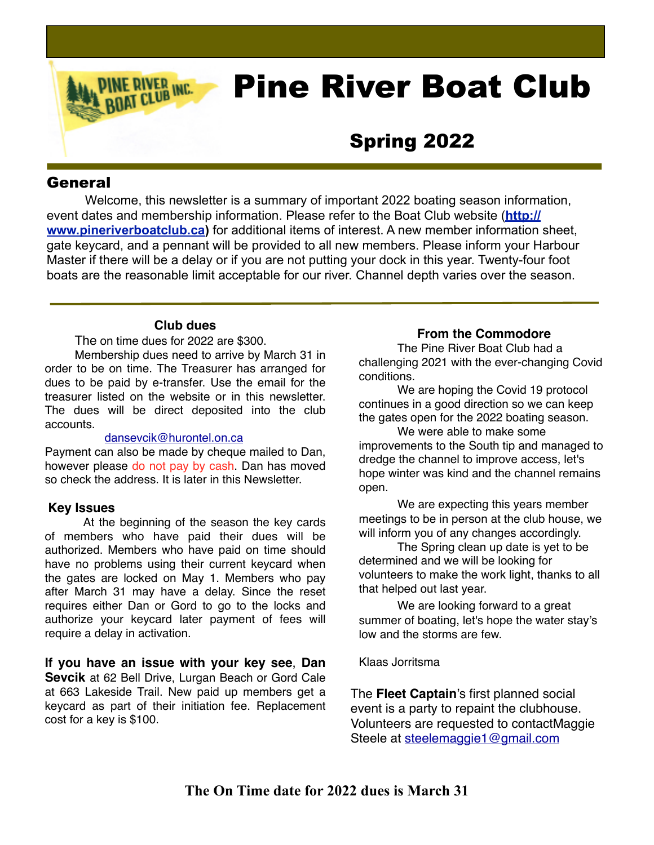# Pine River Boat Club

## Spring 2022

#### **General**

Welcome, this newsletter is a summary of important 2022 boating season information, event dates and membership information. Please refer to the Boat Club website (**[http://](http://www.pineriverboatclub.ca) [www.pineriverboatclub.ca\)](http://www.pineriverboatclub.ca)** for additional items of interest. A new member information sheet, gate keycard, and a pennant will be provided to all new members. Please inform your Harbour Master if there will be a delay or if you are not putting your dock in this year. Twenty-four foot boats are the reasonable limit acceptable for our river. Channel depth varies over the season.

#### **Club dues**

**RIVER INC.** 

The on time dues for 2022 are \$300.

Membership dues need to arrive by March 31 in order to be on time. The Treasurer has arranged for dues to be paid by e-transfer. Use the email for the treasurer listed on the website or in this newsletter. The dues will be direct deposited into the club accounts.

#### [dansevcik@hurontel.on.ca](mailto:dansevcik@hurontel.on.ca)

Payment can also be made by cheque mailed to Dan, however please do not pay by cash. Dan has moved so check the address. It is later in this Newsletter.

#### **Key Issues**

At the beginning of the season the key cards of members who have paid their dues will be authorized. Members who have paid on time should have no problems using their current keycard when the gates are locked on May 1. Members who pay after March 31 may have a delay. Since the reset requires either Dan or Gord to go to the locks and authorize your keycard later payment of fees will require a delay in activation.

**If you have an issue with your key see**, **Dan Sevcik** at 62 Bell Drive, Lurgan Beach or Gord Cale at 663 Lakeside Trail. New paid up members get a keycard as part of their initiation fee. Replacement cost for a key is \$100.

#### **From the Commodore**

The Pine River Boat Club had a challenging 2021 with the ever-changing Covid conditions.

We are hoping the Covid 19 protocol continues in a good direction so we can keep the gates open for the 2022 boating season.

We were able to make some improvements to the South tip and managed to dredge the channel to improve access, let's hope winter was kind and the channel remains open.

We are expecting this years member meetings to be in person at the club house, we will inform you of any changes accordingly.

The Spring clean up date is yet to be determined and we will be looking for volunteers to make the work light, thanks to all that helped out last year.

We are looking forward to a great summer of boating, let's hope the water stay's low and the storms are few.

Klaas Jorritsma

The **Fleet Captain**'s first planned social event is a party to repaint the clubhouse. Volunteers are requested to contactMaggie Steele at [steelemaggie1@gmail.com](mailto:steelemaggie1@gmail.com)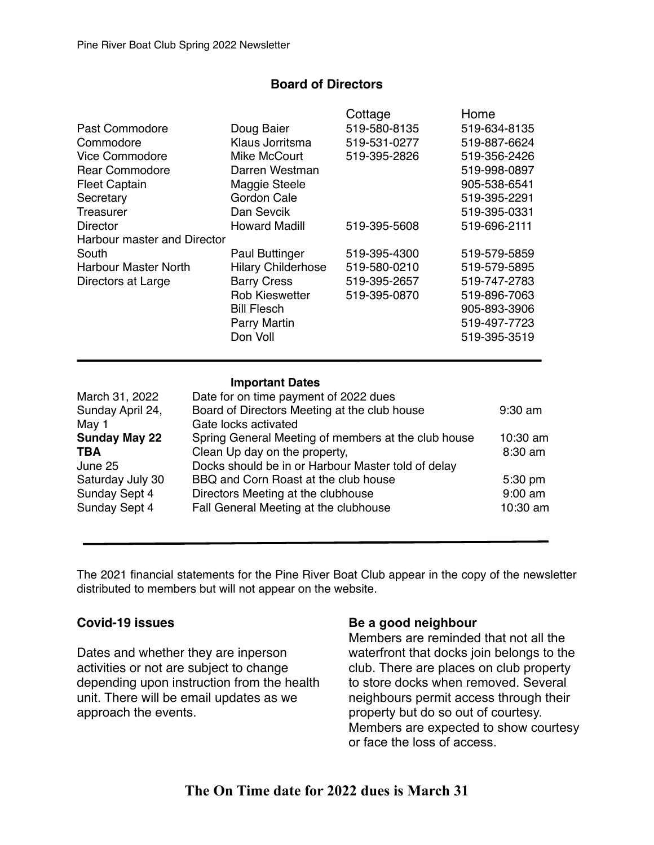#### **Board of Directors**

|                             |                           | Cottage      | Home         |
|-----------------------------|---------------------------|--------------|--------------|
| Past Commodore              | Doug Baier                | 519-580-8135 | 519-634-8135 |
| Commodore                   | Klaus Jorritsma           | 519-531-0277 | 519-887-6624 |
| <b>Vice Commodore</b>       | Mike McCourt              | 519-395-2826 | 519-356-2426 |
| <b>Rear Commodore</b>       | Darren Westman            |              | 519-998-0897 |
| <b>Fleet Captain</b>        | Maggie Steele             |              | 905-538-6541 |
| Secretary                   | Gordon Cale               |              | 519-395-2291 |
| Treasurer                   | Dan Sevcik                |              | 519-395-0331 |
| <b>Director</b>             | <b>Howard Madill</b>      | 519-395-5608 | 519-696-2111 |
| Harbour master and Director |                           |              |              |
| South                       | <b>Paul Buttinger</b>     | 519-395-4300 | 519-579-5859 |
| <b>Harbour Master North</b> | <b>Hilary Childerhose</b> | 519-580-0210 | 519-579-5895 |
| Directors at Large          | <b>Barry Cress</b>        | 519-395-2657 | 519-747-2783 |
|                             | <b>Rob Kieswetter</b>     | 519-395-0870 | 519-896-7063 |
|                             | <b>Bill Flesch</b>        |              | 905-893-3906 |
|                             | <b>Parry Martin</b>       |              | 519-497-7723 |
|                             | Don Voll                  |              | 519-395-3519 |
|                             |                           |              |              |

#### **Important Dates**

| March 31, 2022       | Date for on time payment of 2022 dues               |                   |
|----------------------|-----------------------------------------------------|-------------------|
| Sunday April 24,     | Board of Directors Meeting at the club house        | $9:30$ am         |
| May 1                | Gate locks activated                                |                   |
| <b>Sunday May 22</b> | Spring General Meeting of members at the club house | 10:30 am          |
| TBA                  | Clean Up day on the property,                       | $8:30$ am         |
| June 25              | Docks should be in or Harbour Master told of delay  |                   |
| Saturday July 30     | BBQ and Corn Roast at the club house                | $5:30 \text{ pm}$ |
| Sunday Sept 4        | Directors Meeting at the clubhouse                  | $9:00$ am         |
| Sunday Sept 4        | Fall General Meeting at the clubhouse               | 10:30 am          |
|                      |                                                     |                   |

The 2021 financial statements for the Pine River Boat Club appear in the copy of the newsletter distributed to members but will not appear on the website.

#### **Covid-19 issues**

Dates and whether they are inperson activities or not are subject to change depending upon instruction from the health unit. There will be email updates as we approach the events.

#### **Be a good neighbour**

Members are reminded that not all the waterfront that docks join belongs to the club. There are places on club property to store docks when removed. Several neighbours permit access through their property but do so out of courtesy. Members are expected to show courtesy or face the loss of access.